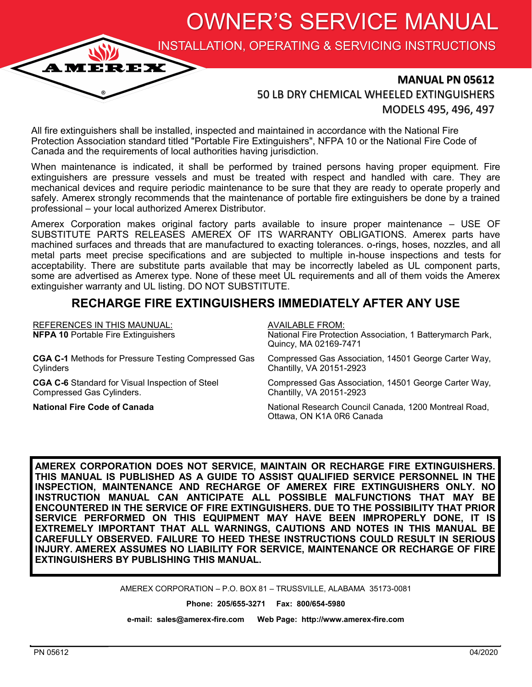OWNER'S SERVICE MANUAL

INSTALLATION, OPERATING & SERVICING INSTRUCTIONS

# **MANUAL PN 05612** 50 LB DRY CHEMICAL WHEELED EXTINGUISHERS MODELS 495, 496, 497

All fire extinguishers shall be installed, inspected and maintained in accordance with the National Fire Protection Association standard titled "Portable Fire Extinguishers", NFPA 10 or the National Fire Code of Canada and the requirements of local authorities having jurisdiction.

**AMEREX** 

When maintenance is indicated, it shall be performed by trained persons having proper equipment. Fire extinguishers are pressure vessels and must be treated with respect and handled with care. They are mechanical devices and require periodic maintenance to be sure that they are ready to operate properly and safely. Amerex strongly recommends that the maintenance of portable fire extinguishers be done by a trained professional – your local authorized Amerex Distributor.

Amerex Corporation makes original factory parts available to insure proper maintenance – USE OF SUBSTITUTE PARTS RELEASES AMEREX OF ITS WARRANTY OBLIGATIONS. Amerex parts have machined surfaces and threads that are manufactured to exacting tolerances. o-rings, hoses, nozzles, and all metal parts meet precise specifications and are subjected to multiple in-house inspections and tests for acceptability. There are substitute parts available that may be incorrectly labeled as UL component parts, some are advertised as Amerex type. None of these meet UL requirements and all of them voids the Amerex extinguisher warranty and UL listing. DO NOT SUBSTITUTE.

# **RECHARGE FIRE EXTINGUISHERS IMMEDIATELY AFTER ANY USE**

| <b>REFERENCES IN THIS MAUNUAL:</b><br><b>NFPA 10 Portable Fire Extinguishers</b> | <b>AVAILABLE FROM:</b><br>National Fire Protection Association, 1 Batterymarch Park,<br>Quincy, MA 02169-7471 |
|----------------------------------------------------------------------------------|---------------------------------------------------------------------------------------------------------------|
| <b>CGA C-1</b> Methods for Pressure Testing Compressed Gas                       | Compressed Gas Association, 14501 George Carter Way,                                                          |
| Cylinders                                                                        | Chantilly, VA 20151-2923                                                                                      |
| <b>CGA C-6</b> Standard for Visual Inspection of Steel                           | Compressed Gas Association, 14501 George Carter Way,                                                          |
| Compressed Gas Cylinders.                                                        | Chantilly, VA 20151-2923                                                                                      |
| <b>National Fire Code of Canada</b>                                              | National Research Council Canada, 1200 Montreal Road,<br>Ottawa, ON K1A 0R6 Canada                            |

**AMEREX CORPORATION DOES NOT SERVICE, MAINTAIN OR RECHARGE FIRE EXTINGUISHERS. THIS MANUAL IS PUBLISHED AS A GUIDE TO ASSIST QUALIFIED SERVICE PERSONNEL IN THE INSPECTION, MAINTENANCE AND RECHARGE OF AMEREX FIRE EXTINGUISHERS ONLY. NO INSTRUCTION MANUAL CAN ANTICIPATE ALL POSSIBLE MALFUNCTIONS THAT MAY BE ENCOUNTERED IN THE SERVICE OF FIRE EXTINGUISHERS. DUE TO THE POSSIBILITY THAT PRIOR SERVICE PERFORMED ON THIS EQUIPMENT MAY HAVE BEEN IMPROPERLY DONE, IT IS EXTREMELY IMPORTANT THAT ALL WARNINGS, CAUTIONS AND NOTES IN THIS MANUAL BE CAREFULLY OBSERVED. FAILURE TO HEED THESE INSTRUCTIONS COULD RESULT IN SERIOUS INJURY. AMEREX ASSUMES NO LIABILITY FOR SERVICE, MAINTENANCE OR RECHARGE OF FIRE EXTINGUISHERS BY PUBLISHING THIS MANUAL.**

AMEREX CORPORATION – P.O. BOX 81 – TRUSSVILLE, ALABAMA 35173-0081

**Phone: 205/655-3271 Fax: 800/654-5980**

**e-mail: sales@amerex-fire.com Web Page: http://www.amerex-fire.com**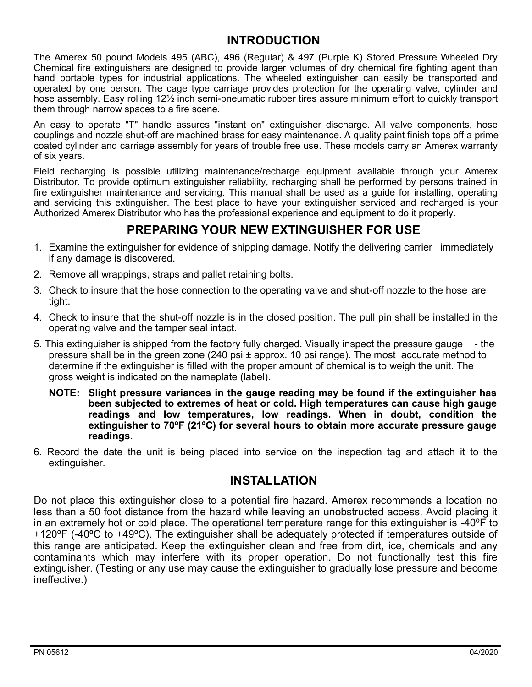# **INTRODUCTION**

The Amerex 50 pound Models 495 (ABC), 496 (Regular) & 497 (Purple K) Stored Pressure Wheeled Dry Chemical fire extinguishers are designed to provide larger volumes of dry chemical fire fighting agent than hand portable types for industrial applications. The wheeled extinguisher can easily be transported and operated by one person. The cage type carriage provides protection for the operating valve, cylinder and hose assembly. Easy rolling 12½ inch semi-pneumatic rubber tires assure minimum effort to quickly transport them through narrow spaces to a fire scene.

An easy to operate "T" handle assures "instant on" extinguisher discharge. All valve components, hose couplings and nozzle shut-off are machined brass for easy maintenance. A quality paint finish tops off a prime coated cylinder and carriage assembly for years of trouble free use. These models carry an Amerex warranty of six years.

Field recharging is possible utilizing maintenance/recharge equipment available through your Amerex Distributor. To provide optimum extinguisher reliability, recharging shall be performed by persons trained in fire extinguisher maintenance and servicing. This manual shall be used as a guide for installing, operating and servicing this extinguisher. The best place to have your extinguisher serviced and recharged is your Authorized Amerex Distributor who has the professional experience and equipment to do it properly.

# **PREPARING YOUR NEW EXTINGUISHER FOR USE**

- 1. Examine the extinguisher for evidence of shipping damage. Notify the delivering carrier immediately if any damage is discovered.
- 2. Remove all wrappings, straps and pallet retaining bolts.
- 3. Check to insure that the hose connection to the operating valve and shut-off nozzle to the hose are tight.
- 4. Check to insure that the shut-off nozzle is in the closed position. The pull pin shall be installed in the operating valve and the tamper seal intact.
- 5. This extinguisher is shipped from the factory fully charged. Visually inspect the pressure gauge the pressure shall be in the green zone (240 psi  $\pm$  approx. 10 psi range). The most accurate method to determine if the extinguisher is filled with the proper amount of chemical is to weigh the unit. The gross weight is indicated on the nameplate (label).
	- **NOTE: Slight pressure variances in the gauge reading may be found if the extinguisher has been subjected to extremes of heat or cold. High temperatures can cause high gauge readings and low temperatures, low readings. When in doubt, condition the extinguisher to 70ºF (21ºC) for several hours to obtain more accurate pressure gauge readings.**
- 6. Record the date the unit is being placed into service on the inspection tag and attach it to the extinguisher.

# **INSTALLATION**

Do not place this extinguisher close to a potential fire hazard. Amerex recommends a location no less than a 50 foot distance from the hazard while leaving an unobstructed access. Avoid placing it in an extremely hot or cold place. The operational temperature range for this extinguisher is -40ºF to +120ºF (-40ºC to +49ºC). The extinguisher shall be adequately protected if temperatures outside of this range are anticipated. Keep the extinguisher clean and free from dirt, ice, chemicals and any contaminants which may interfere with its proper operation. Do not functionally test this fire extinguisher. (Testing or any use may cause the extinguisher to gradually lose pressure and become ineffective.)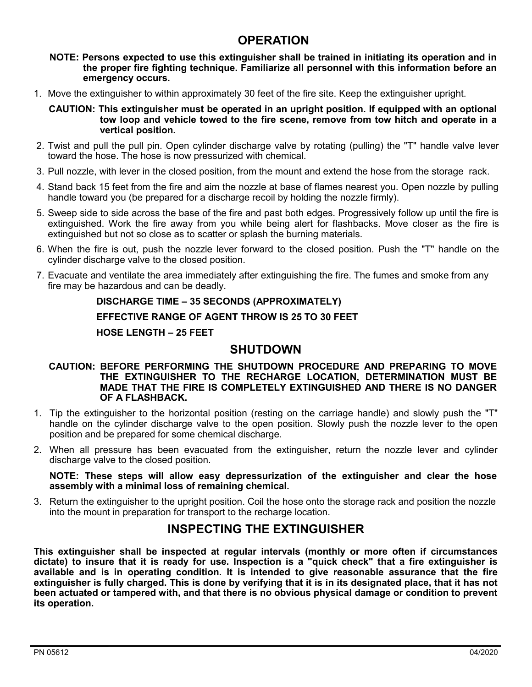# **OPERATION**

**NOTE: Persons expected to use this extinguisher shall be trained in initiating its operation and in the proper fire fighting technique. Familiarize all personnel with this information before an emergency occurs.**

1. Move the extinguisher to within approximately 30 feet of the fire site. Keep the extinguisher upright.

**CAUTION: This extinguisher must be operated in an upright position. If equipped with an optional tow loop and vehicle towed to the fire scene, remove from tow hitch and operate in a vertical position.**

- 2. Twist and pull the pull pin. Open cylinder discharge valve by rotating (pulling) the "T" handle valve lever toward the hose. The hose is now pressurized with chemical.
- 3. Pull nozzle, with lever in the closed position, from the mount and extend the hose from the storage rack.
- 4. Stand back 15 feet from the fire and aim the nozzle at base of flames nearest you. Open nozzle by pulling handle toward you (be prepared for a discharge recoil by holding the nozzle firmly).
- 5. Sweep side to side across the base of the fire and past both edges. Progressively follow up until the fire is extinguished. Work the fire away from you while being alert for flashbacks. Move closer as the fire is extinguished but not so close as to scatter or splash the burning materials.
- 6. When the fire is out, push the nozzle lever forward to the closed position. Push the "T" handle on the cylinder discharge valve to the closed position.
- 7. Evacuate and ventilate the area immediately after extinguishing the fire. The fumes and smoke from any fire may be hazardous and can be deadly.

### **DISCHARGE TIME – 35 SECONDS (APPROXIMATELY)**

**EFFECTIVE RANGE OF AGENT THROW IS 25 TO 30 FEET**

**HOSE LENGTH – 25 FEET**

### **SHUTDOWN**

#### **CAUTION: BEFORE PERFORMING THE SHUTDOWN PROCEDURE AND PREPARING TO MOVE THE EXTINGUISHER TO THE RECHARGE LOCATION, DETERMINATION MUST BE MADE THAT THE FIRE IS COMPLETELY EXTINGUISHED AND THERE IS NO DANGER OF A FLASHBACK.**

- 1. Tip the extinguisher to the horizontal position (resting on the carriage handle) and slowly push the "T" handle on the cylinder discharge valve to the open position. Slowly push the nozzle lever to the open position and be prepared for some chemical discharge.
- 2. When all pressure has been evacuated from the extinguisher, return the nozzle lever and cylinder discharge valve to the closed position.

**NOTE: These steps will allow easy depressurization of the extinguisher and clear the hose assembly with a minimal loss of remaining chemical.**

3. Return the extinguisher to the upright position. Coil the hose onto the storage rack and position the nozzle into the mount in preparation for transport to the recharge location.

### **INSPECTING THE EXTINGUISHER**

**This extinguisher shall be inspected at regular intervals (monthly or more often if circumstances dictate) to insure that it is ready for use. Inspection is a "quick check" that a fire extinguisher is available and is in operating condition. It is intended to give reasonable assurance that the fire extinguisher is fully charged. This is done by verifying that it is in its designated place, that it has not been actuated or tampered with, and that there is no obvious physical damage or condition to prevent its operation.**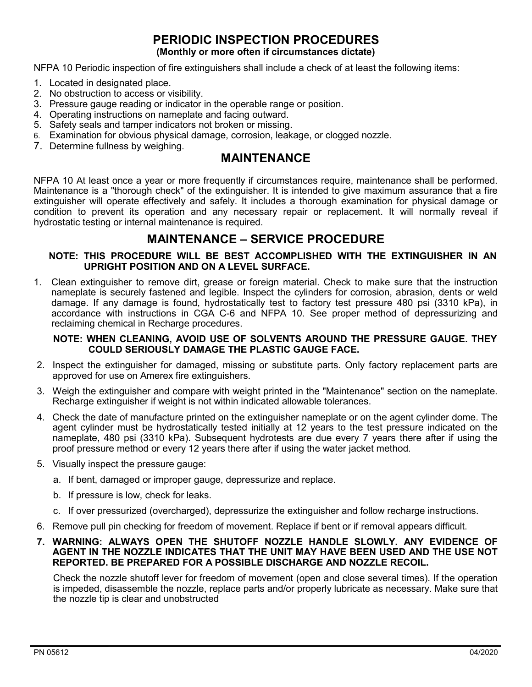# **PERIODIC INSPECTION PROCEDURES**

### **(Monthly or more often if circumstances dictate)**

NFPA 10 Periodic inspection of fire extinguishers shall include a check of at least the following items:

- 1. Located in designated place.
- 2. No obstruction to access or visibility.
- 3. Pressure gauge reading or indicator in the operable range or position.
- 4. Operating instructions on nameplate and facing outward.
- 5. Safety seals and tamper indicators not broken or missing.
- 6. Examination for obvious physical damage, corrosion, leakage, or clogged nozzle.
- 7. Determine fullness by weighing.

### **MAINTENANCE**

NFPA 10 At least once a year or more frequently if circumstances require, maintenance shall be performed. Maintenance is a "thorough check" of the extinguisher. It is intended to give maximum assurance that a fire extinguisher will operate effectively and safely. It includes a thorough examination for physical damage or condition to prevent its operation and any necessary repair or replacement. It will normally reveal if hydrostatic testing or internal maintenance is required.

### **MAINTENANCE – SERVICE PROCEDURE**

### **NOTE: THIS PROCEDURE WILL BE BEST ACCOMPLISHED WITH THE EXTINGUISHER IN AN UPRIGHT POSITION AND ON A LEVEL SURFACE.**

1. Clean extinguisher to remove dirt, grease or foreign material. Check to make sure that the instruction nameplate is securely fastened and legible. Inspect the cylinders for corrosion, abrasion, dents or weld damage. If any damage is found, hydrostatically test to factory test pressure 480 psi (3310 kPa), in accordance with instructions in CGA C-6 and NFPA 10. See proper method of depressurizing and reclaiming chemical in Recharge procedures.

#### **NOTE: WHEN CLEANING, AVOID USE OF SOLVENTS AROUND THE PRESSURE GAUGE. THEY COULD SERIOUSLY DAMAGE THE PLASTIC GAUGE FACE.**

- 2. Inspect the extinguisher for damaged, missing or substitute parts. Only factory replacement parts are approved for use on Amerex fire extinguishers.
- 3. Weigh the extinguisher and compare with weight printed in the "Maintenance" section on the nameplate. Recharge extinguisher if weight is not within indicated allowable tolerances.
- 4. Check the date of manufacture printed on the extinguisher nameplate or on the agent cylinder dome. The agent cylinder must be hydrostatically tested initially at 12 years to the test pressure indicated on the nameplate, 480 psi (3310 kPa). Subsequent hydrotests are due every 7 years there after if using the proof pressure method or every 12 years there after if using the water jacket method.
- 5. Visually inspect the pressure gauge:
	- a. If bent, damaged or improper gauge, depressurize and replace.
	- b. If pressure is low, check for leaks.
	- c. If over pressurized (overcharged), depressurize the extinguisher and follow recharge instructions.
- 6. Remove pull pin checking for freedom of movement. Replace if bent or if removal appears difficult.

### **7. WARNING: ALWAYS OPEN THE SHUTOFF NOZZLE HANDLE SLOWLY. ANY EVIDENCE OF AGENT IN THE NOZZLE INDICATES THAT THE UNIT MAY HAVE BEEN USED AND THE USE NOT REPORTED. BE PREPARED FOR A POSSIBLE DISCHARGE AND NOZZLE RECOIL.**

Check the nozzle shutoff lever for freedom of movement (open and close several times). If the operation is impeded, disassemble the nozzle, replace parts and/or properly lubricate as necessary. Make sure that the nozzle tip is clear and unobstructed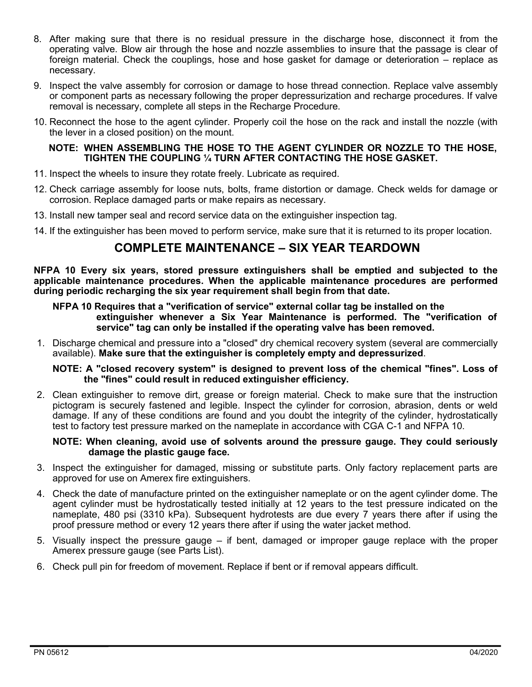- 8. After making sure that there is no residual pressure in the discharge hose, disconnect it from the operating valve. Blow air through the hose and nozzle assemblies to insure that the passage is clear of foreign material. Check the couplings, hose and hose gasket for damage or deterioration – replace as necessary.
- 9. Inspect the valve assembly for corrosion or damage to hose thread connection. Replace valve assembly or component parts as necessary following the proper depressurization and recharge procedures. If valve removal is necessary, complete all steps in the Recharge Procedure.
- 10. Reconnect the hose to the agent cylinder. Properly coil the hose on the rack and install the nozzle (with the lever in a closed position) on the mount.

#### **NOTE: WHEN ASSEMBLING THE HOSE TO THE AGENT CYLINDER OR NOZZLE TO THE HOSE, TIGHTEN THE COUPLING ¼ TURN AFTER CONTACTING THE HOSE GASKET.**

- 11. Inspect the wheels to insure they rotate freely. Lubricate as required.
- 12. Check carriage assembly for loose nuts, bolts, frame distortion or damage. Check welds for damage or corrosion. Replace damaged parts or make repairs as necessary.
- 13. Install new tamper seal and record service data on the extinguisher inspection tag.
- 14. If the extinguisher has been moved to perform service, make sure that it is returned to its proper location.

### **COMPLETE MAINTENANCE – SIX YEAR TEARDOWN**

**NFPA 10 Every six years, stored pressure extinguishers shall be emptied and subjected to the applicable maintenance procedures. When the applicable maintenance procedures are performed during periodic recharging the six year requirement shall begin from that date.**

#### **NFPA 10 Requires that a "verification of service" external collar tag be installed on the extinguisher whenever a Six Year Maintenance is performed. The "verification of service" tag can only be installed if the operating valve has been removed.**

1. Discharge chemical and pressure into a "closed" dry chemical recovery system (several are commercially available). **Make sure that the extinguisher is completely empty and depressurized**.

#### **NOTE: A "closed recovery system" is designed to prevent loss of the chemical "fines". Loss of the "fines" could result in reduced extinguisher efficiency.**

2. Clean extinguisher to remove dirt, grease or foreign material. Check to make sure that the instruction pictogram is securely fastened and legible. Inspect the cylinder for corrosion, abrasion, dents or weld damage. If any of these conditions are found and you doubt the integrity of the cylinder, hydrostatically test to factory test pressure marked on the nameplate in accordance with CGA C-1 and NFPA 10.

#### **NOTE: When cleaning, avoid use of solvents around the pressure gauge. They could seriously damage the plastic gauge face.**

- 3. Inspect the extinguisher for damaged, missing or substitute parts. Only factory replacement parts are approved for use on Amerex fire extinguishers.
- 4. Check the date of manufacture printed on the extinguisher nameplate or on the agent cylinder dome. The agent cylinder must be hydrostatically tested initially at 12 years to the test pressure indicated on the nameplate, 480 psi (3310 kPa). Subsequent hydrotests are due every 7 years there after if using the proof pressure method or every 12 years there after if using the water jacket method.
- 5. Visually inspect the pressure gauge if bent, damaged or improper gauge replace with the proper Amerex pressure gauge (see Parts List).
- 6. Check pull pin for freedom of movement. Replace if bent or if removal appears difficult.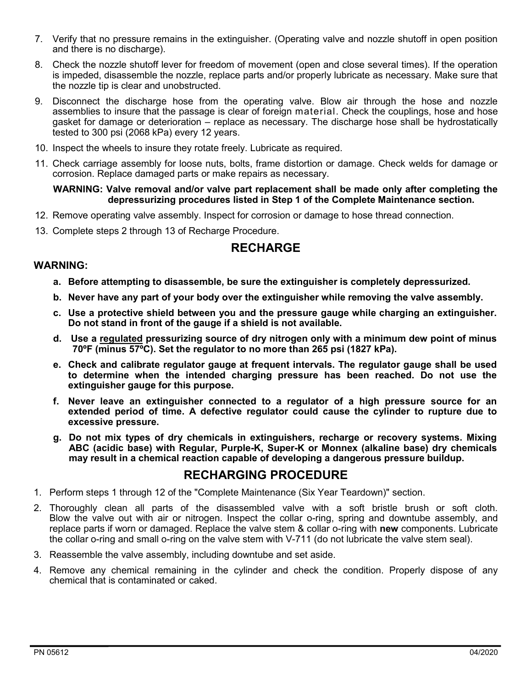- 7. Verify that no pressure remains in the extinguisher. (Operating valve and nozzle shutoff in open position and there is no discharge).
- 8. Check the nozzle shutoff lever for freedom of movement (open and close several times). If the operation is impeded, disassemble the nozzle, replace parts and/or properly lubricate as necessary. Make sure that the nozzle tip is clear and unobstructed.
- 9. Disconnect the discharge hose from the operating valve. Blow air through the hose and nozzle assemblies to insure that the passage is clear of foreign material. Check the couplings, hose and hose gasket for damage or deterioration – replace as necessary. The discharge hose shall be hydrostatically tested to 300 psi (2068 kPa) every 12 years.
- 10. Inspect the wheels to insure they rotate freely. Lubricate as required.
- 11. Check carriage assembly for loose nuts, bolts, frame distortion or damage. Check welds for damage or corrosion. Replace damaged parts or make repairs as necessary.

### **WARNING: Valve removal and/or valve part replacement shall be made only after completing the depressurizing procedures listed in Step 1 of the Complete Maintenance section.**

- 12. Remove operating valve assembly. Inspect for corrosion or damage to hose thread connection.
- 13. Complete steps 2 through 13 of Recharge Procedure.

### **RECHARGE**

### **WARNING:**

- **a. Before attempting to disassemble, be sure the extinguisher is completely depressurized.**
- **b. Never have any part of your body over the extinguisher while removing the valve assembly.**
- **c. Use a protective shield between you and the pressure gauge while charging an extinguisher. Do not stand in front of the gauge if a shield is not available.**
- **d. Use a regulated pressurizing source of dry nitrogen only with a minimum dew point of minus 70ºF (minus 57ºC). Set the regulator to no more than 265 psi (1827 kPa).**
- **e. Check and calibrate regulator gauge at frequent intervals. The regulator gauge shall be used to determine when the intended charging pressure has been reached. Do not use the extinguisher gauge for this purpose.**
- **f. Never leave an extinguisher connected to a regulator of a high pressure source for an extended period of time. A defective regulator could cause the cylinder to rupture due to excessive pressure.**
- **g. Do not mix types of dry chemicals in extinguishers, recharge or recovery systems. Mixing ABC (acidic base) with Regular, Purple-K, Super-K or Monnex (alkaline base) dry chemicals may result in a chemical reaction capable of developing a dangerous pressure buildup.**

# **RECHARGING PROCEDURE**

- 1. Perform steps 1 through 12 of the "Complete Maintenance (Six Year Teardown)" section.
- 2. Thoroughly clean all parts of the disassembled valve with a soft bristle brush or soft cloth. Blow the valve out with air or nitrogen. Inspect the collar o-ring, spring and downtube assembly, and replace parts if worn or damaged. Replace the valve stem & collar o-ring with **new** components. Lubricate the collar o-ring and small o-ring on the valve stem with V-711 (do not lubricate the valve stem seal).
- 3. Reassemble the valve assembly, including downtube and set aside.
- 4. Remove any chemical remaining in the cylinder and check the condition. Properly dispose of any chemical that is contaminated or caked.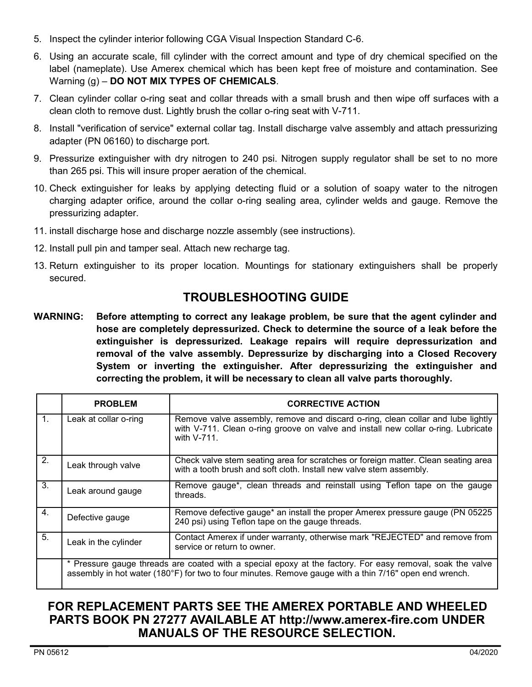- 5. Inspect the cylinder interior following CGA Visual Inspection Standard C-6.
- 6. Using an accurate scale, fill cylinder with the correct amount and type of dry chemical specified on the label (nameplate). Use Amerex chemical which has been kept free of moisture and contamination. See Warning (g) – **DO NOT MIX TYPES OF CHEMICALS**.
- 7. Clean cylinder collar o-ring seat and collar threads with a small brush and then wipe off surfaces with a clean cloth to remove dust. Lightly brush the collar o-ring seat with V-711.
- 8. Install "verification of service" external collar tag. Install discharge valve assembly and attach pressurizing adapter (PN 06160) to discharge port.
- 9. Pressurize extinguisher with dry nitrogen to 240 psi. Nitrogen supply regulator shall be set to no more than 265 psi. This will insure proper aeration of the chemical.
- 10. Check extinguisher for leaks by applying detecting fluid or a solution of soapy water to the nitrogen charging adapter orifice, around the collar o-ring sealing area, cylinder welds and gauge. Remove the pressurizing adapter.
- 11. install discharge hose and discharge nozzle assembly (see instructions).
- 12. Install pull pin and tamper seal. Attach new recharge tag.
- 13. Return extinguisher to its proper location. Mountings for stationary extinguishers shall be properly secured.

# **TROUBLESHOOTING GUIDE**

**WARNING: Before attempting to correct any leakage problem, be sure that the agent cylinder and hose are completely depressurized. Check to determine the source of a leak before the extinguisher is depressurized. Leakage repairs will require depressurization and removal of the valve assembly. Depressurize by discharging into a Closed Recovery System or inverting the extinguisher. After depressurizing the extinguisher and correcting the problem, it will be necessary to clean all valve parts thoroughly.**

|                  | <b>PROBLEM</b>                                                                                                                                                                                                      | <b>CORRECTIVE ACTION</b>                                                                                                                                                            |
|------------------|---------------------------------------------------------------------------------------------------------------------------------------------------------------------------------------------------------------------|-------------------------------------------------------------------------------------------------------------------------------------------------------------------------------------|
| 1.               | Leak at collar o-ring                                                                                                                                                                                               | Remove valve assembly, remove and discard o-ring, clean collar and lube lightly<br>with V-711. Clean o-ring groove on valve and install new collar o-ring. Lubricate<br>with V-711. |
| 2.               | Leak through valve                                                                                                                                                                                                  | Check valve stem seating area for scratches or foreign matter. Clean seating area<br>with a tooth brush and soft cloth. Install new valve stem assembly.                            |
| 3.               | Leak around gauge                                                                                                                                                                                                   | Remove gauge*, clean threads and reinstall using Teflon tape on the gauge<br>threads.                                                                                               |
| 4.               | Defective gauge                                                                                                                                                                                                     | Remove defective gauge* an install the proper Amerex pressure gauge (PN 05225<br>240 psi) using Teflon tape on the gauge threads.                                                   |
| $\overline{5}$ . | Leak in the cylinder                                                                                                                                                                                                | Contact Amerex if under warranty, otherwise mark "REJECTED" and remove from<br>service or return to owner.                                                                          |
|                  | * Pressure gauge threads are coated with a special epoxy at the factory. For easy removal, soak the valve<br>assembly in hot water (180°F) for two to four minutes. Remove gauge with a thin 7/16" open end wrench. |                                                                                                                                                                                     |

# **FOR REPLACEMENT PARTS SEE THE AMEREX PORTABLE AND WHEELED PARTS BOOK PN 27277 AVAILABLE AT http://www.amerex-fire.com UNDER MANUALS OF THE RESOURCE SELECTION.**